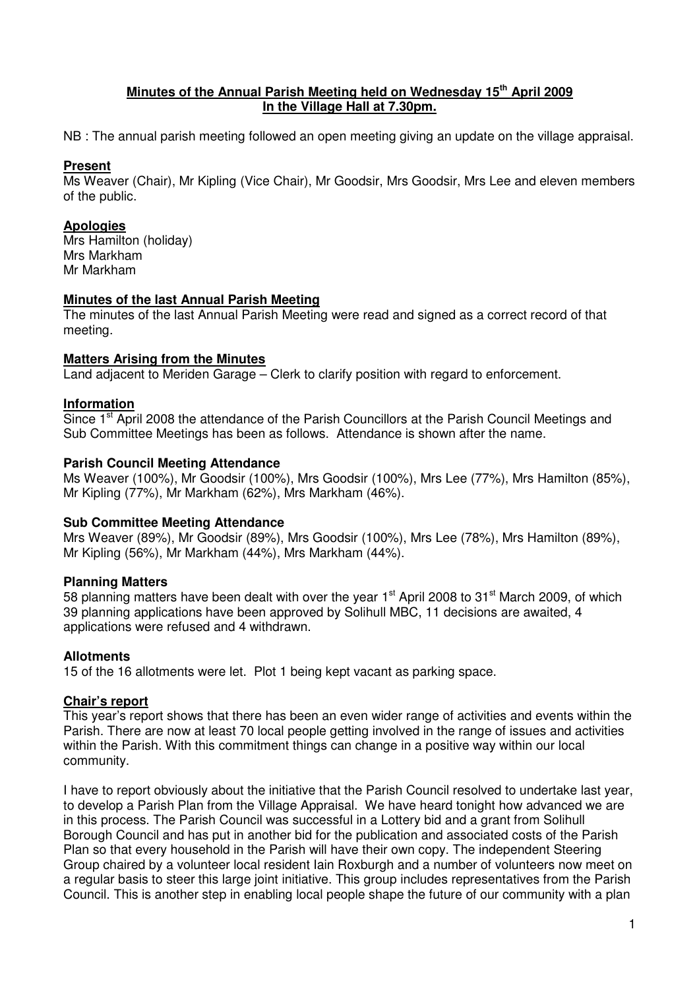## **Minutes of the Annual Parish Meeting held on Wednesday 15th April 2009 In the Village Hall at 7.30pm.**

NB : The annual parish meeting followed an open meeting giving an update on the village appraisal.

## **Present**

Ms Weaver (Chair), Mr Kipling (Vice Chair), Mr Goodsir, Mrs Goodsir, Mrs Lee and eleven members of the public.

# **Apologies**

Mrs Hamilton (holiday) Mrs Markham Mr Markham

## **Minutes of the last Annual Parish Meeting**

The minutes of the last Annual Parish Meeting were read and signed as a correct record of that meeting.

#### **Matters Arising from the Minutes**

Land adjacent to Meriden Garage – Clerk to clarify position with regard to enforcement.

## **Information**

Since 1<sup>st</sup> April 2008 the attendance of the Parish Councillors at the Parish Council Meetings and Sub Committee Meetings has been as follows. Attendance is shown after the name.

#### **Parish Council Meeting Attendance**

Ms Weaver (100%), Mr Goodsir (100%), Mrs Goodsir (100%), Mrs Lee (77%), Mrs Hamilton (85%), Mr Kipling (77%), Mr Markham (62%), Mrs Markham (46%).

## **Sub Committee Meeting Attendance**

Mrs Weaver (89%), Mr Goodsir (89%), Mrs Goodsir (100%), Mrs Lee (78%), Mrs Hamilton (89%), Mr Kipling (56%), Mr Markham (44%), Mrs Markham (44%).

## **Planning Matters**

58 planning matters have been dealt with over the year 1<sup>st</sup> April 2008 to 31<sup>st</sup> March 2009, of which 39 planning applications have been approved by Solihull MBC, 11 decisions are awaited, 4 applications were refused and 4 withdrawn.

## **Allotments**

15 of the 16 allotments were let. Plot 1 being kept vacant as parking space.

#### **Chair's report**

This year's report shows that there has been an even wider range of activities and events within the Parish. There are now at least 70 local people getting involved in the range of issues and activities within the Parish. With this commitment things can change in a positive way within our local community.

I have to report obviously about the initiative that the Parish Council resolved to undertake last year, to develop a Parish Plan from the Village Appraisal. We have heard tonight how advanced we are in this process. The Parish Council was successful in a Lottery bid and a grant from Solihull Borough Council and has put in another bid for the publication and associated costs of the Parish Plan so that every household in the Parish will have their own copy. The independent Steering Group chaired by a volunteer local resident Iain Roxburgh and a number of volunteers now meet on a regular basis to steer this large joint initiative. This group includes representatives from the Parish Council. This is another step in enabling local people shape the future of our community with a plan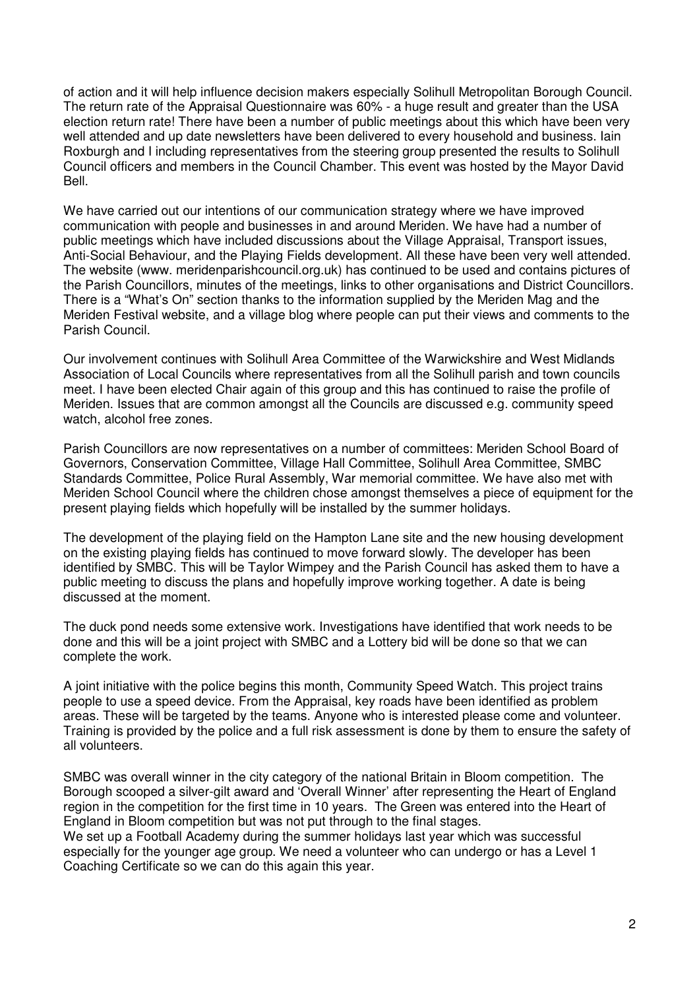of action and it will help influence decision makers especially Solihull Metropolitan Borough Council. The return rate of the Appraisal Questionnaire was 60% - a huge result and greater than the USA election return rate! There have been a number of public meetings about this which have been very well attended and up date newsletters have been delivered to every household and business. Iain Roxburgh and I including representatives from the steering group presented the results to Solihull Council officers and members in the Council Chamber. This event was hosted by the Mayor David Bell.

We have carried out our intentions of our communication strategy where we have improved communication with people and businesses in and around Meriden. We have had a number of public meetings which have included discussions about the Village Appraisal, Transport issues, Anti-Social Behaviour, and the Playing Fields development. All these have been very well attended. The website (www. meridenparishcouncil.org.uk) has continued to be used and contains pictures of the Parish Councillors, minutes of the meetings, links to other organisations and District Councillors. There is a "What's On" section thanks to the information supplied by the Meriden Mag and the Meriden Festival website, and a village blog where people can put their views and comments to the Parish Council.

Our involvement continues with Solihull Area Committee of the Warwickshire and West Midlands Association of Local Councils where representatives from all the Solihull parish and town councils meet. I have been elected Chair again of this group and this has continued to raise the profile of Meriden. Issues that are common amongst all the Councils are discussed e.g. community speed watch, alcohol free zones.

Parish Councillors are now representatives on a number of committees: Meriden School Board of Governors, Conservation Committee, Village Hall Committee, Solihull Area Committee, SMBC Standards Committee, Police Rural Assembly, War memorial committee. We have also met with Meriden School Council where the children chose amongst themselves a piece of equipment for the present playing fields which hopefully will be installed by the summer holidays.

The development of the playing field on the Hampton Lane site and the new housing development on the existing playing fields has continued to move forward slowly. The developer has been identified by SMBC. This will be Taylor Wimpey and the Parish Council has asked them to have a public meeting to discuss the plans and hopefully improve working together. A date is being discussed at the moment.

The duck pond needs some extensive work. Investigations have identified that work needs to be done and this will be a joint project with SMBC and a Lottery bid will be done so that we can complete the work.

A joint initiative with the police begins this month, Community Speed Watch. This project trains people to use a speed device. From the Appraisal, key roads have been identified as problem areas. These will be targeted by the teams. Anyone who is interested please come and volunteer. Training is provided by the police and a full risk assessment is done by them to ensure the safety of all volunteers.

SMBC was overall winner in the city category of the national Britain in Bloom competition. The Borough scooped a silver-gilt award and 'Overall Winner' after representing the Heart of England region in the competition for the first time in 10 years. The Green was entered into the Heart of England in Bloom competition but was not put through to the final stages. We set up a Football Academy during the summer holidays last year which was successful especially for the younger age group. We need a volunteer who can undergo or has a Level 1 Coaching Certificate so we can do this again this year.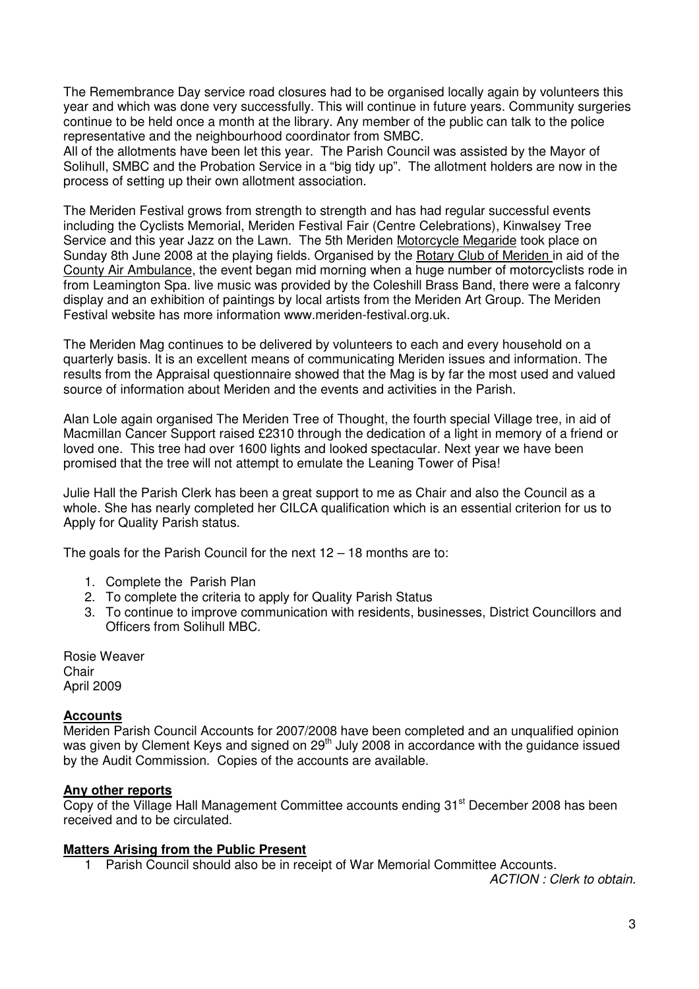The Remembrance Day service road closures had to be organised locally again by volunteers this year and which was done very successfully. This will continue in future years. Community surgeries continue to be held once a month at the library. Any member of the public can talk to the police representative and the neighbourhood coordinator from SMBC.

All of the allotments have been let this year. The Parish Council was assisted by the Mayor of Solihull, SMBC and the Probation Service in a "big tidy up". The allotment holders are now in the process of setting up their own allotment association.

The Meriden Festival grows from strength to strength and has had regular successful events including the Cyclists Memorial, Meriden Festival Fair (Centre Celebrations), Kinwalsey Tree Service and this year Jazz on the Lawn. The 5th Meriden Motorcycle Megaride took place on Sunday 8th June 2008 at the playing fields. Organised by the Rotary Club of Meriden in aid of the County Air Ambulance, the event began mid morning when a huge number of motorcyclists rode in from Leamington Spa. live music was provided by the Coleshill Brass Band, there were a falconry display and an exhibition of paintings by local artists from the Meriden Art Group. The Meriden Festival website has more information www.meriden-festival.org.uk.

The Meriden Mag continues to be delivered by volunteers to each and every household on a quarterly basis. It is an excellent means of communicating Meriden issues and information. The results from the Appraisal questionnaire showed that the Mag is by far the most used and valued source of information about Meriden and the events and activities in the Parish.

Alan Lole again organised The Meriden Tree of Thought, the fourth special Village tree, in aid of Macmillan Cancer Support raised £2310 through the dedication of a light in memory of a friend or loved one. This tree had over 1600 lights and looked spectacular. Next year we have been promised that the tree will not attempt to emulate the Leaning Tower of Pisa!

Julie Hall the Parish Clerk has been a great support to me as Chair and also the Council as a whole. She has nearly completed her CILCA qualification which is an essential criterion for us to Apply for Quality Parish status.

The goals for the Parish Council for the next 12 – 18 months are to:

- 1. Complete the Parish Plan
- 2. To complete the criteria to apply for Quality Parish Status
- 3. To continue to improve communication with residents, businesses, District Councillors and Officers from Solihull MBC.

Rosie Weaver Chair April 2009

## **Accounts**

Meriden Parish Council Accounts for 2007/2008 have been completed and an unqualified opinion was given by Clement Keys and signed on 29<sup>th</sup> July 2008 in accordance with the guidance issued by the Audit Commission. Copies of the accounts are available.

## **Any other reports**

Copy of the Village Hall Management Committee accounts ending 31<sup>st</sup> December 2008 has been received and to be circulated.

## **Matters Arising from the Public Present**

1 Parish Council should also be in receipt of War Memorial Committee Accounts.

ACTION : Clerk to obtain.